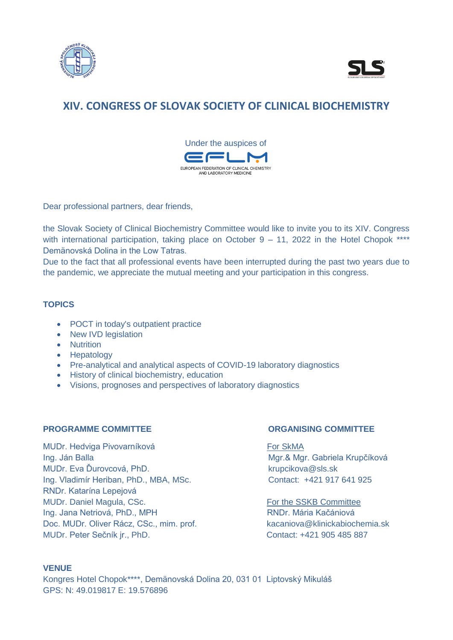



# **XIV. CONGRESS OF SLOVAK SOCIETY OF CLINICAL BIOCHEMISTRY**



Dear professional partners, dear friends,

the Slovak Society of Clinical Biochemistry Committee would like to invite you to its XIV. Congress with international participation, taking place on October 9 – 11, 2022 in the Hotel Chopok \*\*\*\* Demänovská Dolina in the Low Tatras.

Due to the fact that all professional events have been interrupted during the past two years due to the pandemic, we appreciate the mutual meeting and your participation in this congress.

## **TOPICS**

- POCT in today's outpatient practice
- New IVD legislation
- Nutrition
- Hepatology
- Pre-analytical and analytical aspects of COVID-19 laboratory diagnostics
- History of clinical biochemistry, education
- Visions, prognoses and perspectives of laboratory diagnostics

### **PROGRAMME COMMITTEE ORGANISING COMMITTEE**

MUDr. Hedviga Pivovarníková **For SkMA** Ing. Ján Balla Mgr. & Mgr. & Mgr. Gabriela Krupčíková MUDr. Eva Ďurovcová, PhD. krupcikova @sls.sk Ing. Vladimír Heriban, PhD., MBA, MSc. Contact: +421 917 641 925 RNDr. Katarína Lepejová MUDr. Daniel Magula, CSc. The SSKB Committee Ing. Jana Netriová, PhD., MPH RNDR. MARIA RNDR. Mária Kačániová Doc. MUDr. Oliver Rácz, CSc., mim. prof. kacaniova@klinickabiochemia.sk MUDr. Peter Sečník jr., PhD. Contact: +421 905 485 887

### **VENUE**

Kongres Hotel Chopok\*\*\*\*, Demänovská Dolina 20, 031 01 Liptovský Mikuláš GPS: N: 49.019817 E: 19.576896